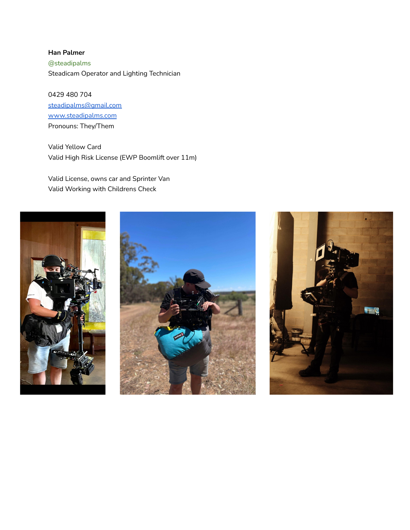**Han Palmer** @steadipalms Steadicam Operator and Lighting Technician

0429 480 704 [steadipalms@gmail.com](mailto:steadipalms@gmail.com) [www.steadipalms.com](http://www.steadipalms.com) Pronouns: They/Them

Valid Yellow Card Valid High Risk License (EWP Boomlift over 11m)

Valid License, owns car and Sprinter Van Valid Working with Childrens Check





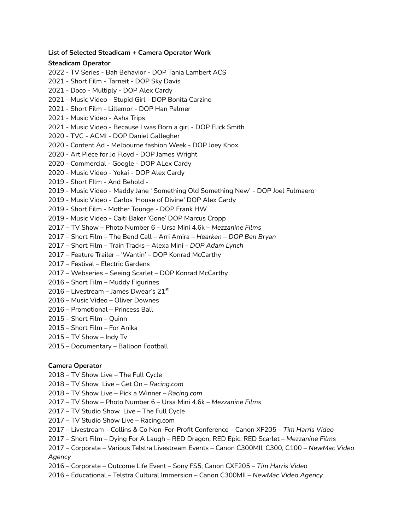## **List of Selected Steadicam + Camera Operator Work**

## **Steadicam Operator**

- TV Series Bah Behavior DOP Tania Lambert ACS - Short Film - Tarneit - DOP Sky Davis - Doco - Multiply - DOP Alex Cardy - Music Video - Stupid Girl - DOP Bonita Carzino - Short Film - Lillemor - DOP Han Palmer - Music Video - Asha Trips - Music Video - Because I was Born a girl - DOP Flick Smith - TVC - ACMI - DOP Daniel Gallegher - Content Ad - Melbourne fashion Week - DOP Joey Knox - Art Piece for Jo Floyd - DOP James Wright - Commercial - Google - DOP ALex Cardy - Music Video - Yokai - DOP Alex Cardy - Short FIlm - And Behold - - Music Video - Maddy Jane ' Something Old Something New' - DOP Joel Fulmaero - Music Video - Carlos 'House of Divine' DOP Alex Cardy - Short Film - Mother Tounge - DOP Frank HW - Music Video - Caiti Baker 'Gone' DOP Marcus Cropp – TV Show – Photo Number 6 – Ursa Mini 4.6k – *Mezzanine Films* – Short Film – The Bend Call – Arri Amira – *Hearken – DOP Ben Bryan* – Short Film – Train Tracks – Alexa Mini – *DOP Adam Lynch* – Feature Trailer – 'Wantin' – DOP Konrad McCarthy – Festival – Electric Gardens – Webseries – Seeing Scarlet – DOP Konrad McCarthy – Short Film – Muddy Figurines 2016 – Livestream – James Dwear's 21 $^{\rm st}$  – Music Video – Oliver Downes – Promotional – Princess Ball – Short Film – Quinn
- Short Film For Anika
- TV Show Indy Tv
- Documentary Balloon Football

## **Camera Operator**

- TV Show Live The Full Cycle
- TV Show Live Get On *Racing.com*
- TV Show Live Pick a Winner *Racing.com*
- TV Show Photo Number 6 Ursa Mini 4.6k *Mezzanine Films*
- TV Studio Show Live The Full Cycle
- TV Studio Show Live Racing.com
- Livestream Collins & Co Non-For-Profit Conference Canon XF205 *Tim Harris Video*
- Short Film Dying For A Laugh RED Dragon, RED Epic, RED Scarlet *Mezzanine Films*
- Corporate Various Telstra Livestream Events Canon C300MII, C300, C100 *NewMac Video Agency*
- Corporate Outcome Life Event Sony FS5, Canon CXF205 *Tim Harris Video*
- Educational Telstra Cultural Immersion Canon C300MII *NewMac Video Agency*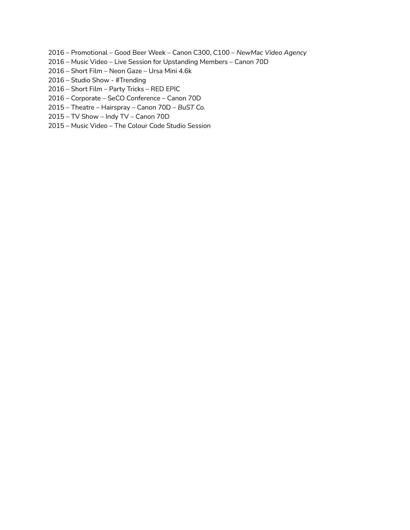- Promotional Good Beer Week Canon C300, C100 *NewMac Video Agency*
- Music Video Live Session for Upstanding Members Canon 70D
- Short Film Neon Gaze Ursa Mini 4.6k
- Studio Show #Trending
- Short Film Party Tricks RED EPIC
- Corporate SeCO Conference Canon 70D
- Theatre Hairspray Canon 70D *BuST Co.*
- TV Show Indy TV Canon 70D
- Music Video The Colour Code Studio Session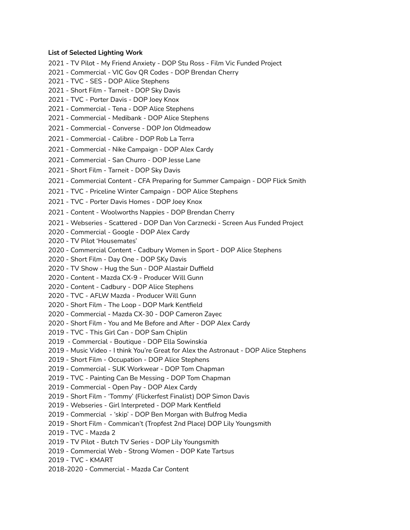#### **List of Selected Lighting Work**

- TV Pilot My Friend Anxiety DOP Stu Ross Film Vic Funded Project
- Commercial VIC Gov QR Codes DOP Brendan Cherry
- TVC SES DOP Alice Stephens
- Short Film Tarneit DOP Sky Davis
- TVC Porter Davis DOP Joey Knox
- Commercial Tena DOP Alice Stephens
- Commercial Medibank DOP Alice Stephens
- Commercial Converse DOP Jon Oldmeadow
- Commercial Calibre DOP Rob La Terra
- Commercial Nike Campaign DOP Alex Cardy
- Commercial San Churro DOP Jesse Lane
- Short Film Tarneit DOP Sky Davis
- Commercial Content CFA Preparing for Summer Campaign DOP Flick Smith
- TVC Priceline Winter Campaign DOP Alice Stephens
- TVC Porter Davis Homes DOP Joey Knox
- Content Woolworths Nappies DOP Brendan Cherry
- Webseries Scattered DOP Dan Von Carznecki Screen Aus Funded Project
- Commercial Google DOP Alex Cardy
- TV Pilot 'Housemates'
- Commercial Content Cadbury Women in Sport DOP Alice Stephens
- Short Film Day One DOP SKy Davis
- TV Show Hug the Sun DOP Alastair Duffield
- Content Mazda CX-9 Producer Will Gunn
- Content Cadbury DOP Alice Stephens
- TVC AFLW Mazda Producer Will Gunn
- Short Film The Loop DOP Mark Kentfield
- Commercial Mazda CX-30 DOP Cameron Zayec
- Short Film You and Me Before and After DOP Alex Cardy
- TVC This Girl Can DOP Sam Chiplin
- Commercial Boutique DOP Ella Sowinskia
- Music Video I think You're Great for Alex the Astronaut DOP Alice Stephens
- Short Film Occupation DOP Alice Stephens
- Commercial SUK Workwear DOP Tom Chapman
- TVC Painting Can Be Messing DOP Tom Chapman
- Commercial Open Pay DOP Alex Cardy
- Short Film 'Tommy' (Flickerfest Finalist) DOP Simon Davis
- Webseries Girl Interpreted DOP Mark Kentfield
- Commercial 'skip' DOP Ben Morgan with Bulfrog Media
- Short Film Commican't (Tropfest 2nd Place) DOP Lily Youngsmith
- TVC Mazda 2
- TV Pilot Butch TV Series DOP Lily Youngsmith
- Commercial Web Strong Women DOP Kate Tartsus
- TVC KMART
- 2018-2020 Commercial Mazda Car Content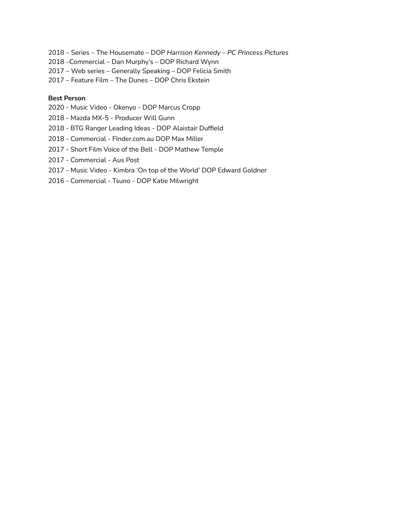- Series The Housemate DOP *Harrison Kennedy – PC Princess Pictures*
- –Commercial Dan Murphy's DOP Richard Wynn
- Web series Generally Speaking DOP Felicia Smith
- Feature Film The Dunes DOP Chris Ekstein

## **Best Person**

- Music Video Okenyo DOP Marcus Cropp
- Mazda MX-5 Producer Will Gunn
- BTG Ranger Leading Ideas DOP Alaistair Duffield
- Commercial FInder.com.au DOP Max Miller
- Short Film Voice of the Bell DOP Mathew Temple
- Commercial Aus Post
- Music Video Kimbra 'On top of the World' DOP Edward Goldner
- Commercial Tsuno DOP Katie Milwright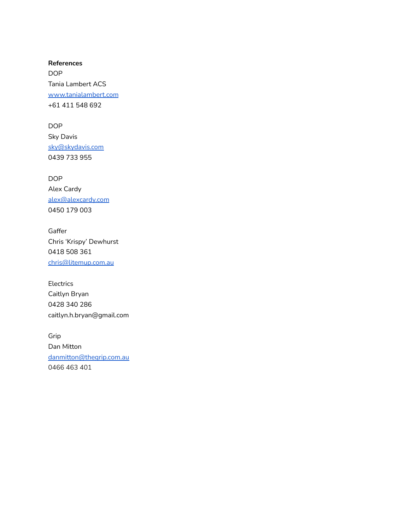**References** DOP Tania Lambert ACS [www.tanialambert.com](http://www.tanialambert.com/) +61 411 548 692

DOP Sky Davis [sky@skydavis.com](mailto:sky@skydavis.com) 0439 733 955

DOP Alex Cardy [alex@alexcardy.com](mailto:alex@alexcardy.com) 0450 179 003

Gaffer Chris 'Krispy' Dewhurst 0418 508 361 [chris@litemup.com.au](mailto:chris@litemup.com.au)

Electrics Caitlyn Bryan 0428 340 286 caitlyn.h.bryan@gmail.com

Grip Dan Mitton [danmitton@thegrip.com.au](mailto:danmitton@thegrip.com.au) 0466 463 401